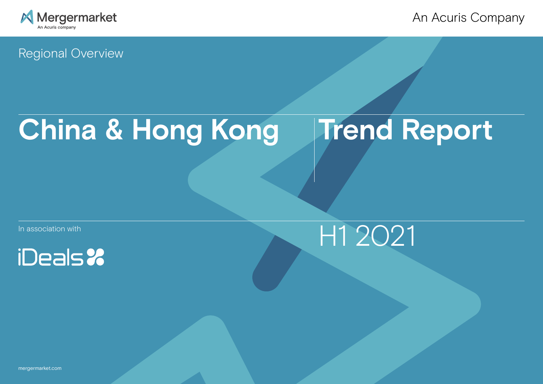

An Acuris Company

Regional Overview

# **China & Hong Kong Trend Report**

In association with





[mergermarket.com](http://www.mergermarket.com/info/)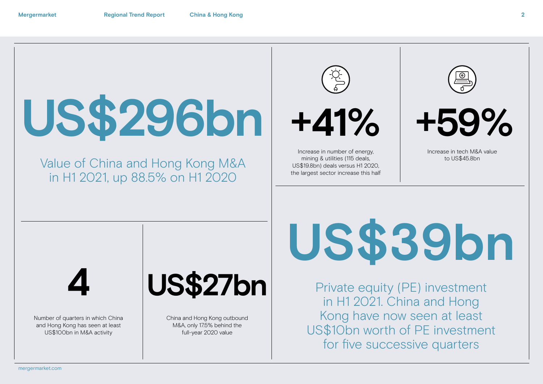

# Value of China and Hong Kong M&A in H1 2021, up 88.5% on H1 2020





Increase in number of energy, mining & utilities (115 deals, US\$19.8bn) deals versus H1 2020, the largest sector increase this half



**+41% +59%** 

Increase in tech M&A value to US\$45.8bn

**4**

Number of quarters in which China and Hong Kong has seen at least US\$100bn in M&A activity

# **US\$27bn**

China and Hong Kong outbound M&A, only 17.5% behind the full-year 2020 value

**US\$39bn**

Private equity (PE) investment in H1 2021. China and Hong Kong have now seen at least US\$10bn worth of PE investment for five successive quarters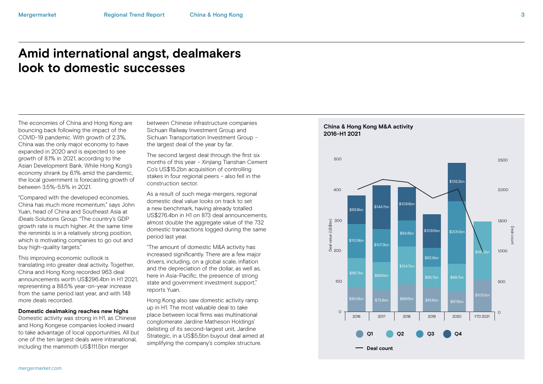# **Amid international angst, dealmakers look to domestic successes**

The economies of China and Hong Kong are bouncing back following the impact of the COVID-19 pandemic. With growth of 2.3%, China was the only major economy to have expanded in 2020 and is expected to see growth of 8.1% in 2021, according to the Asian Development Bank. While Hong Kong's economy shrank by 6.1% amid the pandemic, the local government is forecasting growth of between 3.5%-5.5% in 2021.

"Compared with the developed economies, China has much more momentum," says John Yuan, head of China and Southeast Asia at iDeals Solutions Group. "The country's GDP growth rate is much higher. At the same time the renminbi is in a relatively strong position, which is motivating companies to go out and buy high-quality targets."

This improving economic outlook is translating into greater deal activity. Together, China and Hong Kong recorded 963 deal announcements worth US\$296.4bn in H1 2021, representing a 88.5% year-on-year increase from the same period last year, and with 148 more deals recorded.

#### **Domestic dealmaking reaches new highs**

Domestic activity was strong in H1, as Chinese and Hong Kongese companies looked inward to take advantage of local opportunities. All but one of the ten largest deals were intranational, including the mammoth US\$111.5bn merger

between Chinese infrastructure companies Sichuan Railway Investment Group and Sichuan Transportation Investment Group – the largest deal of the year by far.

The second largest deal through the first six months of this year – Xinijang Tianshan Cement Co's US\$15.2bn acquisition of controlling stakes in four regional peers – also fell in the construction sector.

As a result of such mega-mergers, regional domestic deal value looks on track to set a new benchmark, having already totalled US\$276.4bn in H1 on 873 deal announcements, almost double the aggregate value of the 732 domestic transactions logged during the same period last year.

"The amount of domestic M&A activity has increased significantly. There are a few major drivers, including, on a global scale, inflation and the depreciation of the dollar, as well as, here in Asia-Pacific, the presence of strong state and government investment support," reports Yuan.

Hong Kong also saw domestic activity ramp up in H1. The most valuable deal to take place between local firms was multinational conglomerate Jardine Matheson Holdings' delisting of its second-largest unit, Jardine Strategic, in a US\$5.5bn buyout deal aimed at simplifying the company's complex structure.

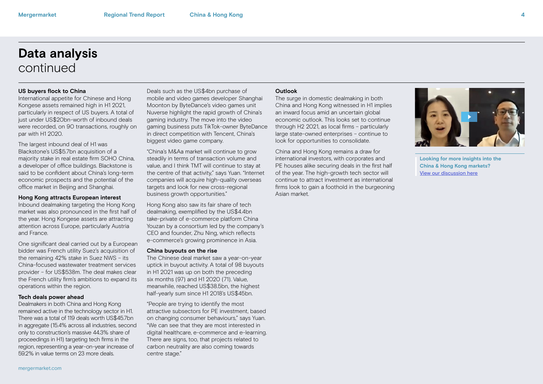## **Data analysis** continued

#### **US buyers flock to China**

International appetite for Chinese and Hong Kongese assets remained high in H1 2021, particularly in respect of US buyers. A total of just under US\$20bn-worth of inbound deals were recorded, on 90 transactions, roughly on par with H1 2020.

The largest inbound deal of H1 was Blackstone's US\$5.7bn acquisition of a majority stake in real estate firm SOHO China, a developer of office buildings. Blackstone is said to be confident about China's long-term economic prospects and the potential of the office market in Beijing and Shanghai.

#### **Hong Kong attracts European interest**

Inbound dealmaking targeting the Hong Kong market was also pronounced in the first half of the year. Hong Kongese assets are attracting attention across Europe, particularly Austria and France.

One significant deal carried out by a European bidder was French utility Suez's acquisition of the remaining 42% stake in Suez NWS – its China-focused wastewater treatment services provider – for US\$538m. The deal makes clear the French utility firm's ambitions to expand its operations within the region.

#### **Tech deals power ahead**

Dealmakers in both China and Hong Kong remained active in the technology sector in H1. There was a total of 119 deals worth US\$45.7bn in aggregate (15.4% across all industries, second only to construction's massive 44.3% share of proceedings in H1) targeting tech firms in the region, representing a year-on-year increase of 59.2% in value terms on 23 more deals.

Deals such as the US\$4bn purchase of mobile and video games developer Shanghai Moonton by ByteDance's video games unit Nuverse highlight the rapid growth of China's gaming industry. The move into the video gaming business puts TikTok-owner ByteDance in direct competition with Tencent, China's biggest video game company.

"China's M&Aa market will continue to grow steadily in terms of transaction volume and value, and I think TMT will continue to stay at the centre of that activity," says Yuan. "Internet companies will acquire high-quality overseas targets and look for new cross-regional business growth opportunities."

Hong Kong also saw its fair share of tech dealmaking, exemplified by the US\$4.4bn take-private of e-commerce platform China Youzan by a consortium led by the company's CEO and founder, Zhu Ning, which reflects e-commerce's growing prominence in Asia.

#### **China buyouts on the rise**

The Chinese deal market saw a year-on-year uptick in buyout activity. A total of 98 buyouts in H1 2021 was up on both the preceding six months (97) and H1 2020 (71). Value, meanwhile, reached US\$38.5bn, the highest half-yearly sum since H1 2018's US\$45bn.

"People are trying to identify the most attractive subsectors for PE investment, based on changing consumer behaviours," says Yuan. "We can see that they are most interested in digital healthcare, e-commerce and e-learning. There are signs, too, that projects related to carbon neutrality are also coming towards centre stage."

#### **Outlook**

The surge in domestic dealmaking in both China and Hong Kong witnessed in H1 implies an inward focus amid an uncertain global economic outlook. This looks set to continue through H2 2021, as local firms – particularly large state-owned enterprises – continue to look for opportunities to consolidate.

China and Hong Kong remains a draw for international investors, with corporates and PE houses alike securing deals in the first half of the year. The high-growth tech sector will continue to attract investment as international firms look to gain a foothold in the burgeoning Asian market.



**Looking for more insights into the China & Hong Kong markets?** [View our discussion here](https://members.mergermarket.com/china-hong-kong-trend-report-h1-2021)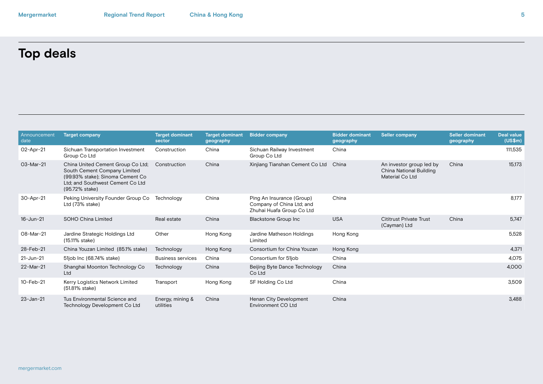# **Top deals**

| Announcement<br>date | <b>Target company</b>                                                                                                                                       | <b>Target dominant</b><br>sector | <b>Target dominant</b><br>geography | <b>Bidder company</b>                                                               | <b>Bidder dominant</b><br>geography | <b>Seller company</b>                                                  | <b>Seller dominant</b><br>geography | <b>Deal value</b><br>(US\$m) |
|----------------------|-------------------------------------------------------------------------------------------------------------------------------------------------------------|----------------------------------|-------------------------------------|-------------------------------------------------------------------------------------|-------------------------------------|------------------------------------------------------------------------|-------------------------------------|------------------------------|
| $O2$ -Apr-21         | Sichuan Transportation Investment<br>Group Co Ltd                                                                                                           | Construction                     | China                               | Sichuan Railway Investment<br>Group Co Ltd                                          | China                               |                                                                        |                                     | 111,535                      |
| O3-Mar-21            | China United Cement Group Co Ltd;<br>South Cement Company Limited<br>(99.93% stake); Sinoma Cement Co<br>Ltd: and Southwest Cement Co Ltd<br>(95.72% stake) | Construction                     | China                               | Xinjiang Tianshan Cement Co Ltd                                                     | China                               | An investor group led by<br>China National Building<br>Material Co Ltd | China                               | 15,173                       |
| 30-Apr-21            | Peking University Founder Group Co<br>Ltd (73% stake)                                                                                                       | Technology                       | China                               | Ping An Insurance (Group)<br>Company of China Ltd; and<br>Zhuhai Huafa Group Co Ltd | China                               |                                                                        |                                     | 8,177                        |
| 16-Jun-21            | <b>SOHO China Limited</b>                                                                                                                                   | Real estate                      | China                               | <b>Blackstone Group Inc</b>                                                         | <b>USA</b>                          | <b>Cititrust Private Trust</b><br>(Cayman) Ltd                         | China                               | 5.747                        |
| O8-Mar-21            | Jardine Strategic Holdings Ltd<br>(15.11% stake)                                                                                                            | Other                            | Hong Kong                           | Jardine Matheson Holdings<br>Limited                                                | Hong Kong                           |                                                                        |                                     | 5,528                        |
| 28-Feb-21            | China Youzan Limited (85.1% stake)                                                                                                                          | Technology                       | Hong Kong                           | Consortium for China Youzan                                                         | Hong Kong                           |                                                                        |                                     | 4.371                        |
| 21-Jun-21            | 51job Inc (68.74% stake)                                                                                                                                    | <b>Business services</b>         | China                               | Consortium for 51job                                                                | China                               |                                                                        |                                     | 4,075                        |
| 22-Mar-21            | Shanghai Moonton Technology Co<br>Ltd                                                                                                                       | Technology                       | China                               | Beijing Byte Dance Technology<br>Co Ltd                                             | China                               |                                                                        |                                     | 4,000                        |
| 10-Feb-21            | Kerry Logistics Network Limited<br>(51.81% stake)                                                                                                           | Transport                        | Hong Kong                           | SF Holding Co Ltd                                                                   | China                               |                                                                        |                                     | 3,509                        |
| $23 - Jan-21$        | Tus Environmental Science and<br>Technology Development Co Ltd                                                                                              | Energy, mining &<br>utilities    | China                               | Henan City Development<br>Environment CO Ltd                                        | China                               |                                                                        |                                     | 3.488                        |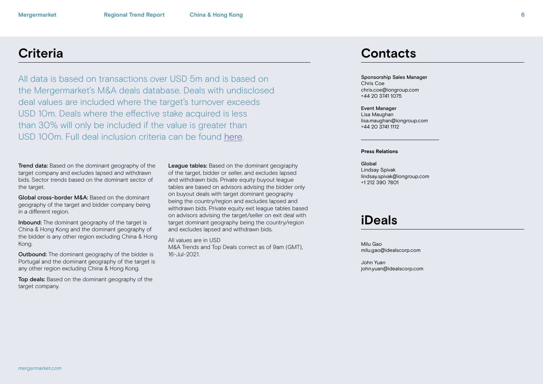All data is based on transactions over USD 5m and is based on the Mergermarket's M&A deals database. Deals with undisclosed deal values are included where the target's turnover exceeds USD 10m. Deals where the effective stake acquired is less than 30% will only be included if the value is greater than USD 100m. Full deal inclusion criteria can be found [here](http://www.mergermarket.com/pdf/deal_criteria.pdf).

Trend data: Based on the dominant geography of the target company and excludes lapsed and withdrawn bids. Sector trends based on the dominant sector of the target.

Global cross-border M&A: Based on the dominant geography of the target and bidder company being in a different region.

Inbound: The dominant geography of the target is China & Hong Kong and the dominant geography of the bidder is any other region excluding China & Hong Kong.

**Outbound:** The dominant geography of the bidder is Portugal and the dominant geography of the target is any other region excluding China & Hong Kong.

Top deals: Based on the dominant geography of the target company.

League tables: Based on the dominant geography of the target, bidder or seller, and excludes lapsed and withdrawn bids. Private equity buyout league tables are based on advisors advising the bidder only on buyout deals with target dominant geography being the country/region and excludes lapsed and withdrawn bids. Private equity exit league tables based on advisors advising the target/seller on exit deal with target dominant geography being the country/region and excludes lapsed and withdrawn bids.

All values are in USD M&A Trends and Top Deals correct as of 9am (GMT), 16-Jul-2021.

## **Criteria Contacts**

Sponsorship Sales Manager Chris Coe chris.coe@iongroup.com +44 20 3741 1075

#### Event Manager

Lisa Maughan lisa.maughan@iongroup.com +44 20 3741 1112

#### **Press Relations**

Global Lindsay Spivak lindsay.spivak@iongroup.com +1 212 390 7801

### **iDeals**

Milu Gao milu.gao@idealscorp.com

John Yuan john.yuan@idealscorp.com